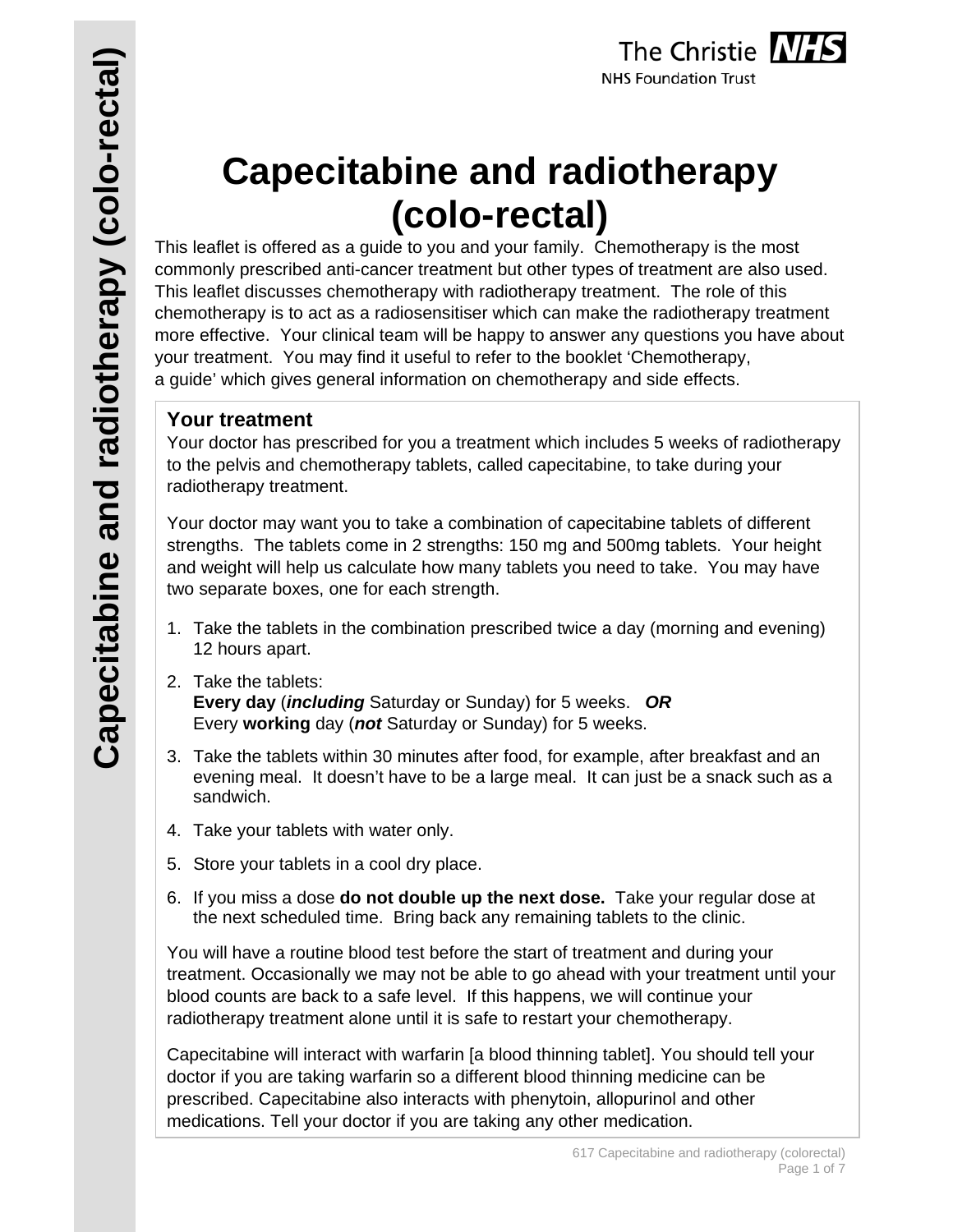

# **Capecitabine and radiotherapy (colo-rectal)**

This leaflet is offered as a guide to you and your family. Chemotherapy is the most commonly prescribed anti-cancer treatment but other types of treatment are also used. This leaflet discusses chemotherapy with radiotherapy treatment. The role of this chemotherapy is to act as a radiosensitiser which can make the radiotherapy treatment more effective. Your clinical team will be happy to answer any questions you have about your treatment. You may find it useful to refer to the booklet 'Chemotherapy, a guide' which gives general information on chemotherapy and side effects.

# **Your treatment**

Your doctor has prescribed for you a treatment which includes 5 weeks of radiotherapy to the pelvis and chemotherapy tablets, called capecitabine, to take during your radiotherapy treatment.

Your doctor may want you to take a combination of capecitabine tablets of different strengths. The tablets come in 2 strengths: 150 mg and 500mg tablets. Your height and weight will help us calculate how many tablets you need to take. You may have two separate boxes, one for each strength.

- 1. Take the tablets in the combination prescribed twice a day (morning and evening) 12 hours apart.
- 2. Take the tablets: **Every day** (*including* Saturday or Sunday) for 5 weeks. *OR* Every **working** day (*not* Saturday or Sunday) for 5 weeks.
- 3. Take the tablets within 30 minutes after food, for example, after breakfast and an evening meal. It doesn't have to be a large meal. It can just be a snack such as a sandwich.
- 4. Take your tablets with water only.
- 5. Store your tablets in a cool dry place.
- 6. If you miss a dose **do not double up the next dose.** Take your regular dose at the next scheduled time. Bring back any remaining tablets to the clinic.

You will have a routine blood test before the start of treatment and during your treatment. Occasionally we may not be able to go ahead with your treatment until your blood counts are back to a safe level. If this happens, we will continue your radiotherapy treatment alone until it is safe to restart your chemotherapy.

Capecitabine will interact with warfarin [a blood thinning tablet]. You should tell your doctor if you are taking warfarin so a different blood thinning medicine can be prescribed. Capecitabine also interacts with phenytoin, allopurinol and other medications. Tell your doctor if you are taking any other medication.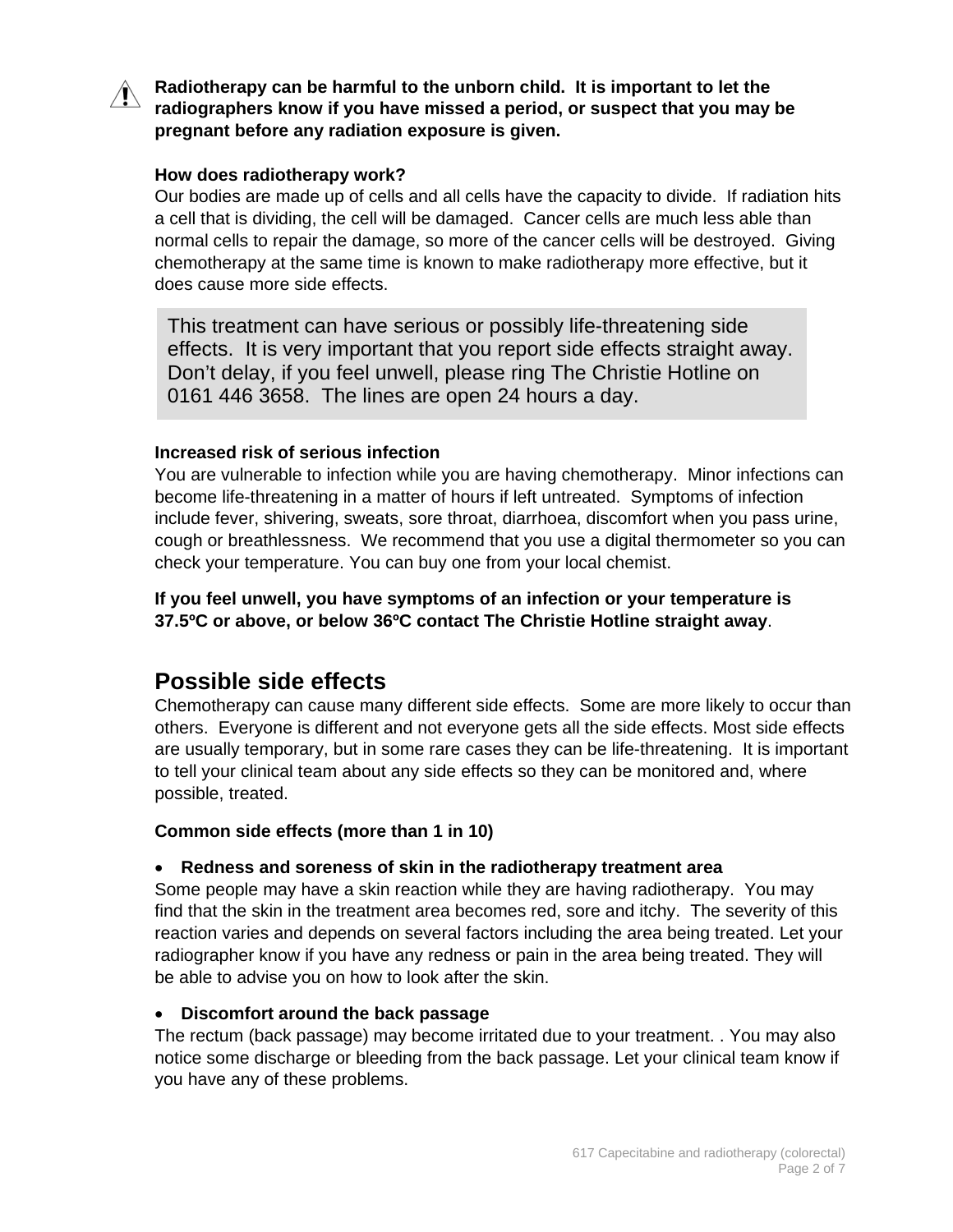

**Radiotherapy can be harmful to the unborn child. It is important to let the radiographers know if you have missed a period, or suspect that you may be pregnant before any radiation exposure is given.** 

# **How does radiotherapy work?**

Our bodies are made up of cells and all cells have the capacity to divide. If radiation hits a cell that is dividing, the cell will be damaged. Cancer cells are much less able than normal cells to repair the damage, so more of the cancer cells will be destroyed. Giving chemotherapy at the same time is known to make radiotherapy more effective, but it does cause more side effects.

This treatment can have serious or possibly life-threatening side effects. It is very important that you report side effects straight away. Don't delay, if you feel unwell, please ring The Christie Hotline on 0161 446 3658. The lines are open 24 hours a day.

# **Increased risk of serious infection**

You are vulnerable to infection while you are having chemotherapy. Minor infections can become life-threatening in a matter of hours if left untreated. Symptoms of infection include fever, shivering, sweats, sore throat, diarrhoea, discomfort when you pass urine, cough or breathlessness. We recommend that you use a digital thermometer so you can check your temperature. You can buy one from your local chemist.

**If you feel unwell, you have symptoms of an infection or your temperature is 37.5ºC or above, or below 36ºC contact The Christie Hotline straight away**.

# **Possible side effects**

Chemotherapy can cause many different side effects. Some are more likely to occur than others. Everyone is different and not everyone gets all the side effects. Most side effects are usually temporary, but in some rare cases they can be life-threatening. It is important to tell your clinical team about any side effects so they can be monitored and, where possible, treated.

# **Common side effects (more than 1 in 10)**

# **Redness and soreness of skin in the radiotherapy treatment area**

Some people may have a skin reaction while they are having radiotherapy. You may find that the skin in the treatment area becomes red, sore and itchy. The severity of this reaction varies and depends on several factors including the area being treated. Let your radiographer know if you have any redness or pain in the area being treated. They will be able to advise you on how to look after the skin.

# **Discomfort around the back passage**

The rectum (back passage) may become irritated due to your treatment. . You may also notice some discharge or bleeding from the back passage. Let your clinical team know if you have any of these problems.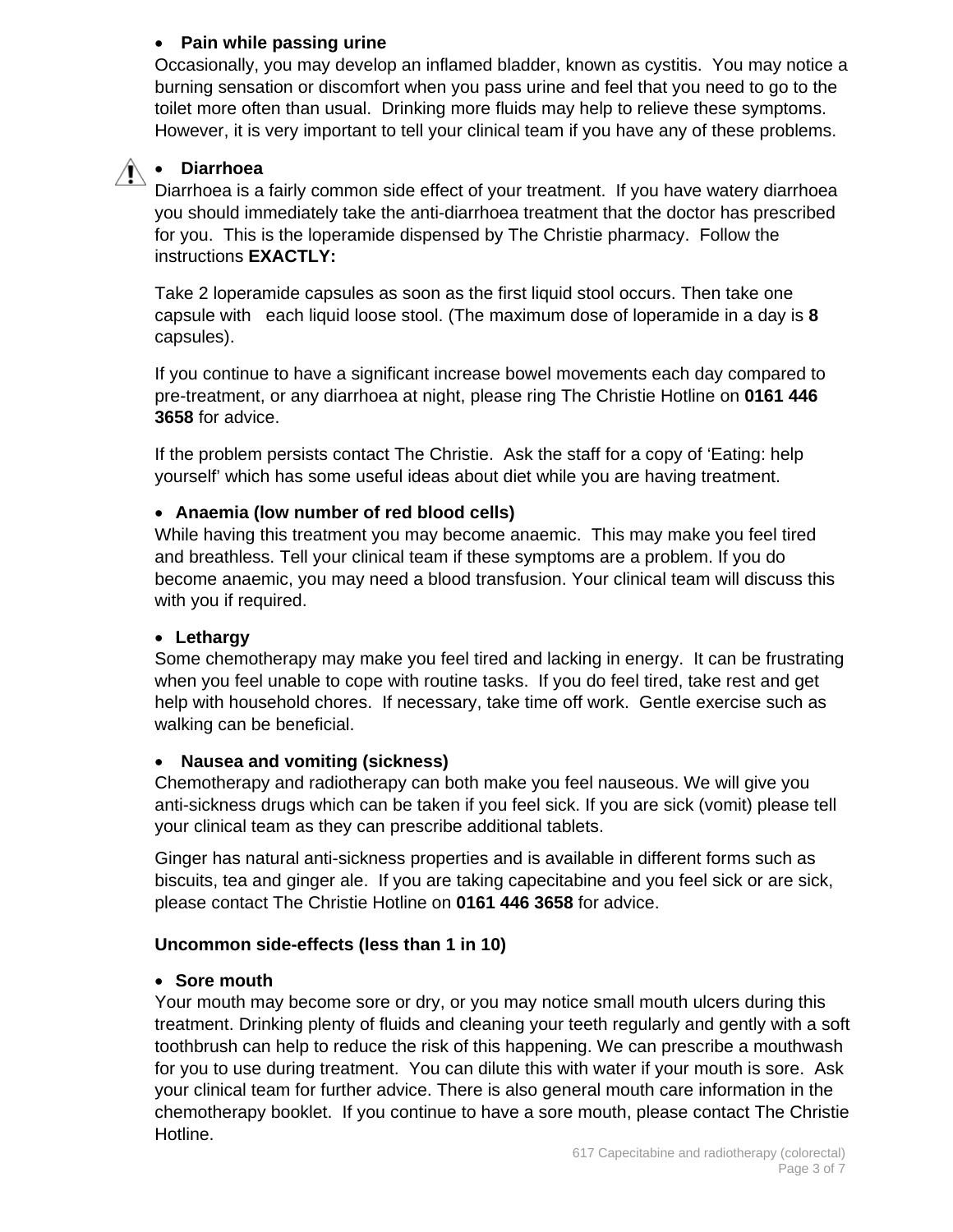# **Pain while passing urine**

Occasionally, you may develop an inflamed bladder, known as cystitis. You may notice a burning sensation or discomfort when you pass urine and feel that you need to go to the toilet more often than usual. Drinking more fluids may help to relieve these symptoms. However, it is very important to tell your clinical team if you have any of these problems.



# **Diarrhoea**

Diarrhoea is a fairly common side effect of your treatment. If you have watery diarrhoea you should immediately take the anti-diarrhoea treatment that the doctor has prescribed for you. This is the loperamide dispensed by The Christie pharmacy. Follow the instructions **EXACTLY:**

Take 2 loperamide capsules as soon as the first liquid stool occurs. Then take one capsule with each liquid loose stool. (The maximum dose of loperamide in a day is **8** capsules).

If you continue to have a significant increase bowel movements each day compared to pre-treatment, or any diarrhoea at night, please ring The Christie Hotline on **0161 446 3658** for advice.

If the problem persists contact The Christie. Ask the staff for a copy of 'Eating: help yourself' which has some useful ideas about diet while you are having treatment.

# **Anaemia (low number of red blood cells)**

While having this treatment you may become anaemic. This may make you feel tired and breathless. Tell your clinical team if these symptoms are a problem. If you do become anaemic, you may need a blood transfusion. Your clinical team will discuss this with you if required.

# **Lethargy**

Some chemotherapy may make you feel tired and lacking in energy. It can be frustrating when you feel unable to cope with routine tasks. If you do feel tired, take rest and get help with household chores. If necessary, take time off work. Gentle exercise such as walking can be beneficial.

# **Nausea and vomiting (sickness)**

Chemotherapy and radiotherapy can both make you feel nauseous. We will give you anti-sickness drugs which can be taken if you feel sick. If you are sick (vomit) please tell your clinical team as they can prescribe additional tablets.

Ginger has natural anti-sickness properties and is available in different forms such as biscuits, tea and ginger ale. If you are taking capecitabine and you feel sick or are sick, please contact The Christie Hotline on **0161 446 3658** for advice.

# **Uncommon side-effects (less than 1 in 10)**

#### **Sore mouth**

Your mouth may become sore or dry, or you may notice small mouth ulcers during this treatment. Drinking plenty of fluids and cleaning your teeth regularly and gently with a soft toothbrush can help to reduce the risk of this happening. We can prescribe a mouthwash for you to use during treatment. You can dilute this with water if your mouth is sore. Ask your clinical team for further advice. There is also general mouth care information in the chemotherapy booklet. If you continue to have a sore mouth, please contact The Christie Hotline.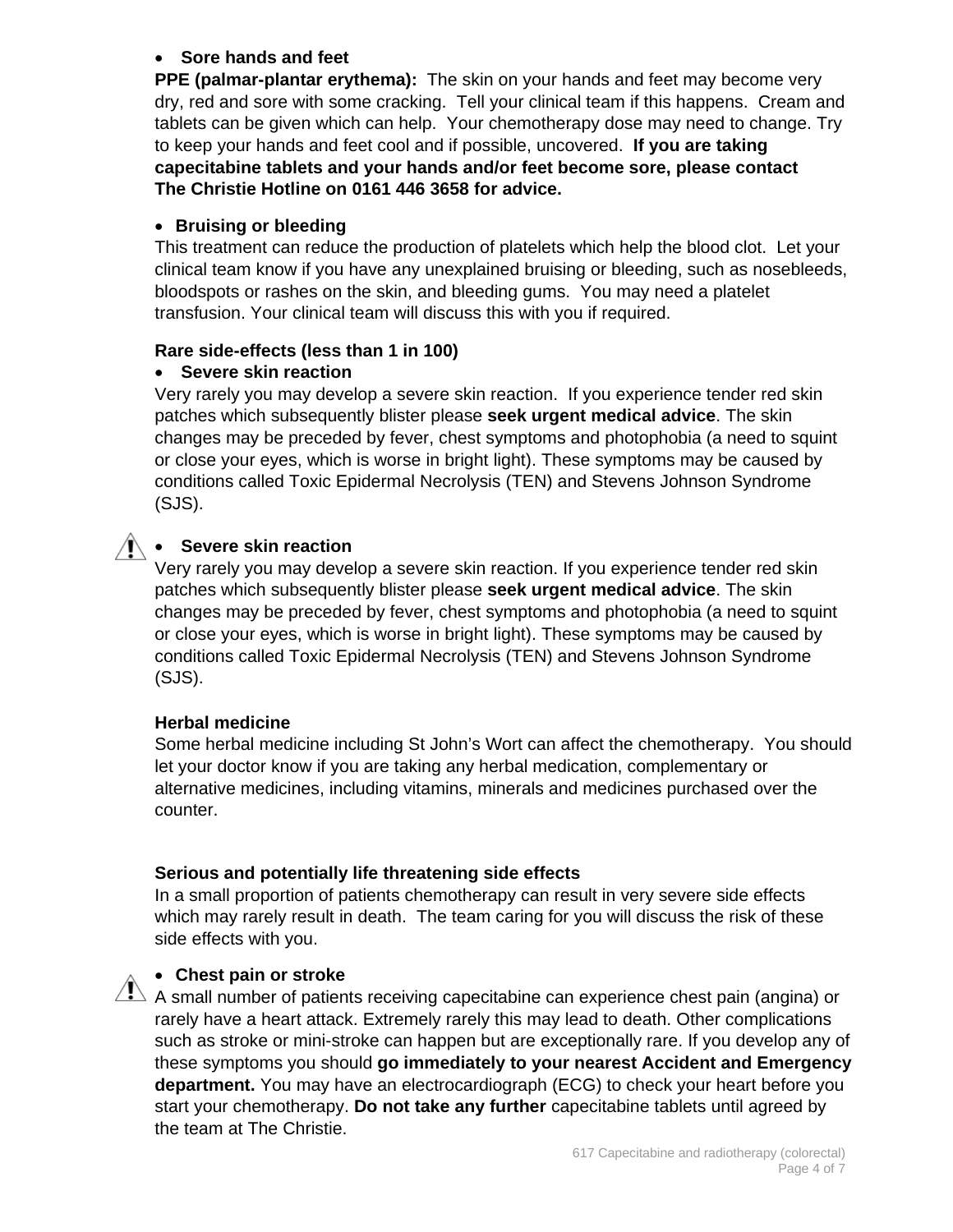# **Sore hands and feet**

**PPE (palmar-plantar erythema):** The skin on your hands and feet may become very dry, red and sore with some cracking. Tell your clinical team if this happens. Cream and tablets can be given which can help. Your chemotherapy dose may need to change. Try to keep your hands and feet cool and if possible, uncovered. **If you are taking capecitabine tablets and your hands and/or feet become sore, please contact The Christie Hotline on 0161 446 3658 for advice.** 

# **Bruising or bleeding**

This treatment can reduce the production of platelets which help the blood clot. Let your clinical team know if you have any unexplained bruising or bleeding, such as nosebleeds, bloodspots or rashes on the skin, and bleeding gums. You may need a platelet transfusion. Your clinical team will discuss this with you if required.

# **Rare side-effects (less than 1 in 100)**

# **Severe skin reaction**

Very rarely you may develop a severe skin reaction. If you experience tender red skin patches which subsequently blister please **seek urgent medical advice**. The skin changes may be preceded by fever, chest symptoms and photophobia (a need to squint or close your eyes, which is worse in bright light). These symptoms may be caused by conditions called Toxic Epidermal Necrolysis (TEN) and Stevens Johnson Syndrome (SJS).



# **∕!** • Severe skin reaction

Very rarely you may develop a severe skin reaction. If you experience tender red skin patches which subsequently blister please **seek urgent medical advice**. The skin changes may be preceded by fever, chest symptoms and photophobia (a need to squint or close your eyes, which is worse in bright light). These symptoms may be caused by conditions called Toxic Epidermal Necrolysis (TEN) and Stevens Johnson Syndrome (SJS).

# **Herbal medicine**

Some herbal medicine including St John's Wort can affect the chemotherapy. You should let your doctor know if you are taking any herbal medication, complementary or alternative medicines, including vitamins, minerals and medicines purchased over the counter.

# **Serious and potentially life threatening side effects**

In a small proportion of patients chemotherapy can result in very severe side effects which may rarely result in death. The team caring for you will discuss the risk of these side effects with you.



# **Chest pain or stroke**

 $\overline{\mathcal{A}}$  A small number of patients receiving capecitabine can experience chest pain (angina) or rarely have a heart attack. Extremely rarely this may lead to death. Other complications such as stroke or mini-stroke can happen but are exceptionally rare. If you develop any of these symptoms you should **go immediately to your nearest Accident and Emergency department.** You may have an electrocardiograph (ECG) to check your heart before you start your chemotherapy. **Do not take any further** capecitabine tablets until agreed by the team at The Christie.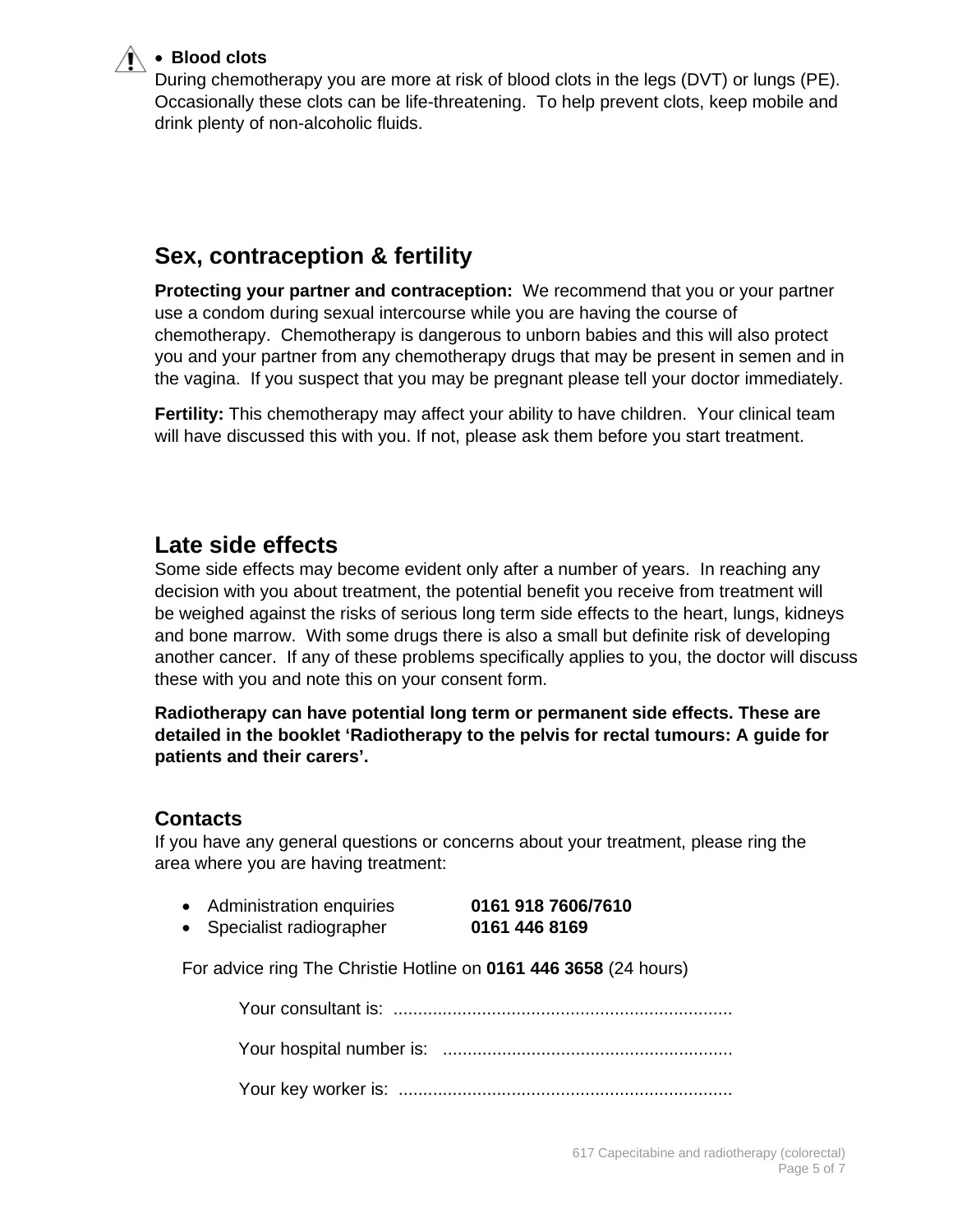

# **Blood clots**

During chemotherapy you are more at risk of blood clots in the legs (DVT) or lungs (PE). Occasionally these clots can be life-threatening. To help prevent clots, keep mobile and drink plenty of non-alcoholic fluids.

# **Sex, contraception & fertility**

**Protecting your partner and contraception:** We recommend that you or your partner use a condom during sexual intercourse while you are having the course of chemotherapy. Chemotherapy is dangerous to unborn babies and this will also protect you and your partner from any chemotherapy drugs that may be present in semen and in the vagina. If you suspect that you may be pregnant please tell your doctor immediately.

**Fertility:** This chemotherapy may affect your ability to have children. Your clinical team will have discussed this with you. If not, please ask them before you start treatment.

# **Late side effects**

Some side effects may become evident only after a number of years. In reaching any decision with you about treatment, the potential benefit you receive from treatment will be weighed against the risks of serious long term side effects to the heart, lungs, kidneys and bone marrow. With some drugs there is also a small but definite risk of developing another cancer. If any of these problems specifically applies to you, the doctor will discuss these with you and note this on your consent form.

**Radiotherapy can have potential long term or permanent side effects. These are detailed in the booklet 'Radiotherapy to the pelvis for rectal tumours: A guide for patients and their carers'.** 

# **Contacts**

If you have any general questions or concerns about your treatment, please ring the area where you are having treatment:

- Administration enquiries **0161 918 7606/7610**
- Specialist radiographer **0161 446 8169**

For advice ring The Christie Hotline on **0161 446 3658** (24 hours)

Your consultant is: .....................................................................

Your hospital number is: ...........................................................

Your key worker is: ....................................................................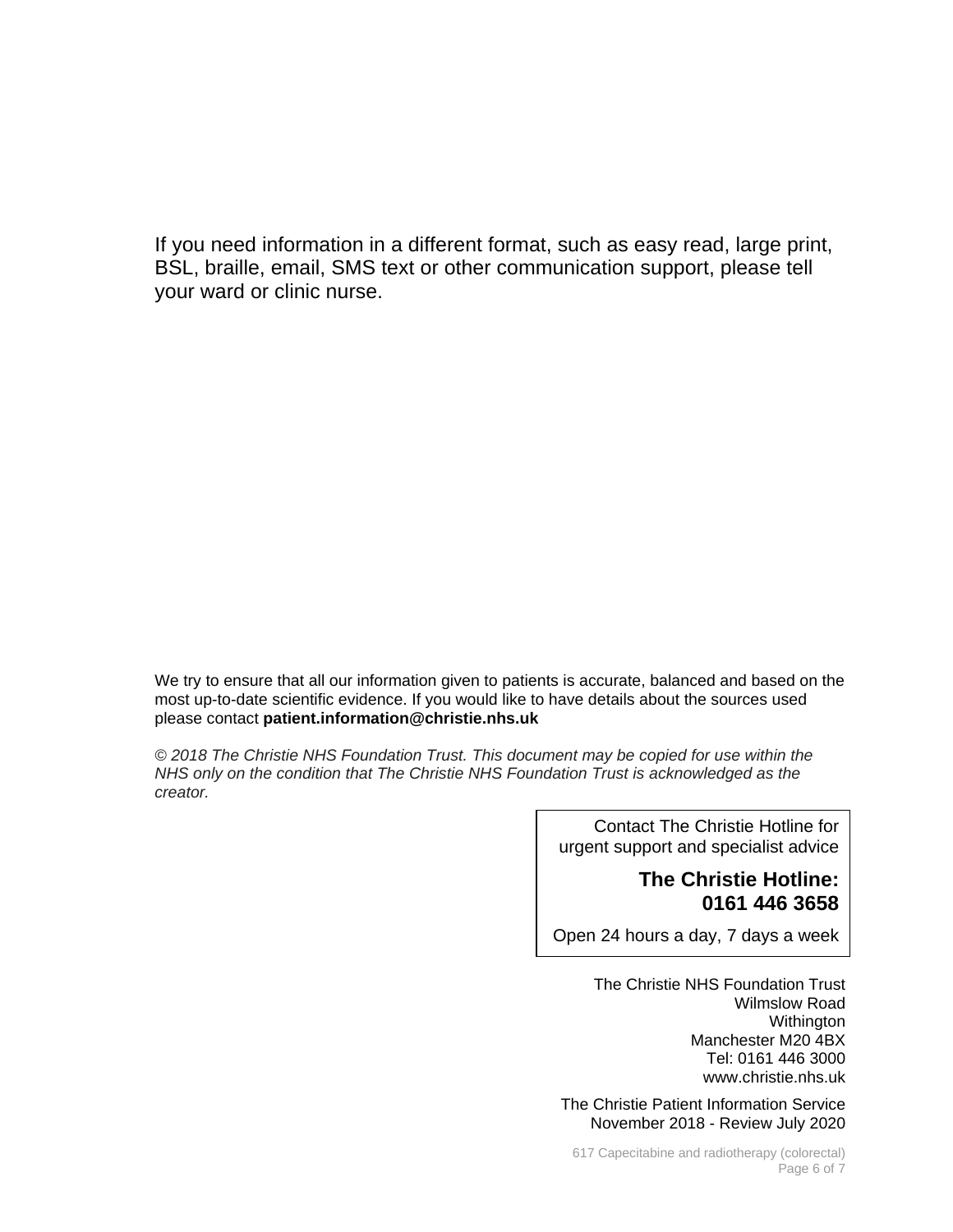If you need information in a different format, such as easy read, large print, BSL, braille, email, SMS text or other communication support, please tell your ward or clinic nurse.

We try to ensure that all our information given to patients is accurate, balanced and based on the most up-to-date scientific evidence. If you would like to have details about the sources used please contact **patient.information@christie.nhs.uk** 

*© 2018 The Christie NHS Foundation Trust. This document may be copied for use within the NHS only on the condition that The Christie NHS Foundation Trust is acknowledged as the creator.* 

> Contact The Christie Hotline for urgent support and specialist advice

> > **The Christie Hotline: 0161 446 3658**

Open 24 hours a day, 7 days a week

The Christie NHS Foundation Trust Wilmslow Road **Withington** Manchester M20 4BX Tel: 0161 446 3000 www.christie.nhs.uk

The Christie Patient Information Service November 2018 - Review July 2020